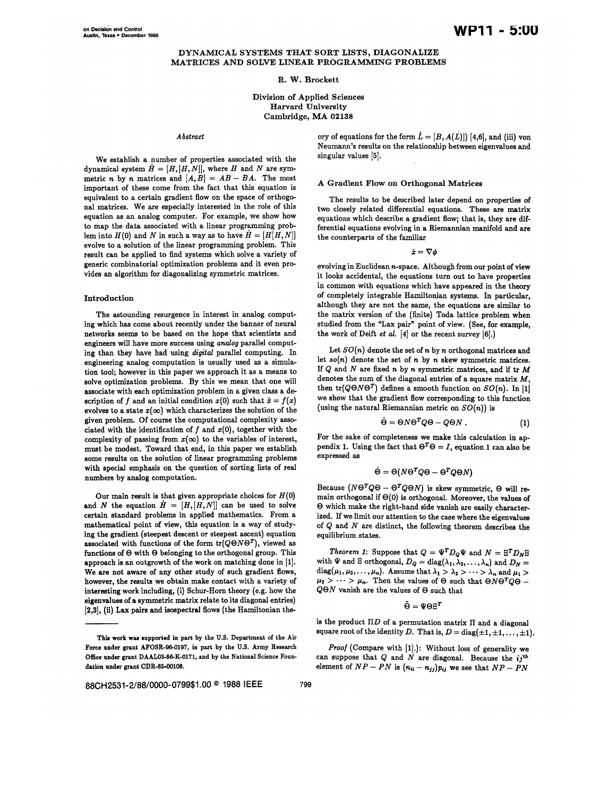#### DYNAMICAL SYSTEMS THAT SORT LISTS, DIAGONALIZE MATRICES AND SOLVE LINEAR PROGRAMMING PROBLEMS

#### R. W. Brockett

## Division of Applied Sciences Harvard University Cambridge, MA 02138

#### Abstract

We establish a number of properties associated with the dynamical system  $\dot{H} = [H, [H, N]],$  where H and N are symmetric *n* by *n* matrices and  $[A, B] = AB - BA$ . The most important of these come from the fact that this equation is equivalent to a certain gradient flow on the space of orthogonal matrices. We are especially interested in the role of this equation as an analog computer. For example, we show how to map the data associated with a linear programming problem into  $H(0)$  and N in such a way as to have  $\dot{H} = [H[H, N]]$ evolve to a solution of the linear programming problem. This result can be applied to find systems which solve a variety of generic combinatorial optimization problems and it even provides an algorithm for diagonalizing symmetric matrices.

## Introduction

The astounding resurgence in interest in analog computing which has come about recently under the banner of neural networks seems to be based on the hope that scientists and engineers will have more success using analog parallel computing than they have had using digital parallel computing. In engineering analog computation is usually used as a simulation tool; however in this paper we approach it as a means to solve optimization problems. By this we mean that one will associate with each optimization problem in a given class a description of f and an initial condition  $x(0)$  such that  $\dot{x} = f(x)$ evolves to a state  $x(\infty)$  which characterizes the solution of the given problem. Of course the computational complexity associated with the identification of  $f$  and  $x(0)$ , together with the complexity of passing from  $x(\infty)$  to the variables of interest, must be modest. Toward that end, in this paper we establish some results on the solution of linear programming problems with special emphasis on the question of sorting lists of real numbers by analog computation.

Our main result is that given appropriate choices for  $H(0)$ and N the equation  $H = [H, [H, N]]$  can be used to solve certain standard problems in applied mathematics. From a mathematical point of view, this equation is a way of studying the gradient (steepest descent or steepest ascent) equation associated with functions of the form  $tr(Q \Theta N \Theta^T)$ , viewed as functions of © with © belonging to the orthogonal group. This approach is an outgrowth of the work on matching done in [1]. We are not aware of any other study of such gradient flows, however, the results we obtain make contact with a variety of interesting work including, {i) Schur-Horn theory (e.g. how the eigenvalues of a symmetric matrix relate to its diagonal entries) [2,3], (ii) Lax pairs and isospectral flows (the Hamiltonian theory of equations for the form  $\dot{L} = [B, A(L)]$  [4,6], and (iii) von Neumann's results on the relationship between eigenvalues and singular values [5].

# A Gradient Flow on Orthogonal Matrices

The results to be described later depend on properties of two closely related differential equations. These are matrix equations which describe a gradient flow; that is, they are differential equations evolving in a Riemannian manifold and are the counterparts of the familiar

 $\dot{x}=\nabla\phi$ 

evolving in Euclidean n-space. Although from our point of view it looks accidental, the equations turn out to have properties in common with equations which have appeared in the theory of completely integrable Hamiltonian systems. In particular, although they are not the same, the equations are similar to the matrix version of the (finite) Toda lattice problem when studied from the "Lax pair" point of view. (See, for example, the work of Deift et al.  $[4]$  or the recent survey  $[6]$ .)

Let  $SO(n)$  denote the set of n by n orthogonal matrices and let  $so(n)$  denote the set of n by n skew symmetric matrices. If  $Q$  and  $N$  are fixed  $n$  by  $n$  symmetric matrices, and if  $tr M$ denotes the sum of the diagonal entries of a square matrix  $M$ , then  $tr(Q \Theta N \Theta^T)$  defines a smooth function on  $SO(n)$ . In [1] we show that the gradient flow corresponding to this function (using the natural Riemannian metric on  $SO(n)$ ) is

$$
\dot{\Theta} = \Theta N \Theta^T Q \Theta - Q \Theta N \,. \tag{1}
$$

For the sake of completeness we make this calculation in appendix 1. Using the fact that  $\Theta^T \Theta = I$ , equation 1 can also be expressed as

$$
\dot{\Theta} = \Theta(N\Theta^TQ\Theta - \Theta^TQ\Theta N)
$$

Because  $( N \Theta^T Q \Theta - \Theta^T Q \Theta N )$  is skew symmetric,  $\Theta$  will remain orthogonal if  $\Theta(0)$  is orthogonal. Moreover, the values of © which make the right-hand side vanish are easily characterized. If we limit our attention to the case where the eigenvalues of Q and N are distinct, the following theorem describes the equilibrium states.

Theorem 1: Suppose that  $Q = \Psi^T D_Q \Psi$  and  $N = \Xi^T D_N \Xi$ with  $\Psi$  and  $\Xi$  orthogonal,  $D_Q = \text{diag}(\lambda_1, \lambda_2, \ldots, \lambda_n)$  and  $D_N =$ diag( $\mu_1, \mu_2, \ldots, \mu_n$ ). Assume that  $\lambda_1 > \lambda_2 > \cdots > \lambda_n$  and  $\mu_1 >$  $\mu_2 > \cdots > \mu_n$ . Then the values of  $\Theta$  such that  $\Theta N \Theta^T Q \Theta$  –  $Q\Theta N$  vanish are the values of  $\Theta$  such that

 $\tilde{\Theta} = \Psi \Theta \Xi^T$ 

is the product  $\Pi D$  of a permutation matrix  $\Pi$  and a diagonal square root of the identity D. That is,  $D = diag(\pm 1, \pm 1, \ldots, \pm 1)$ .

Proof (Compare with [1].): Without loss of generality we can suppose that  $Q$  and  $N$  are diagonal. Because the  $ij$ <sup>th</sup> element of  $NP - PN$  is  $(n_{ii} - n_{jj})p_{ij}$  we see that  $NP - PN$ 

This work was supported in part by the U.S. Department of the Air Force under grant AFOSR-96-0197, in part by the U.S. Army Research Office under grant DAAL03-86-K-0171, and by the National Science Foundation under grant CDR-85-00108.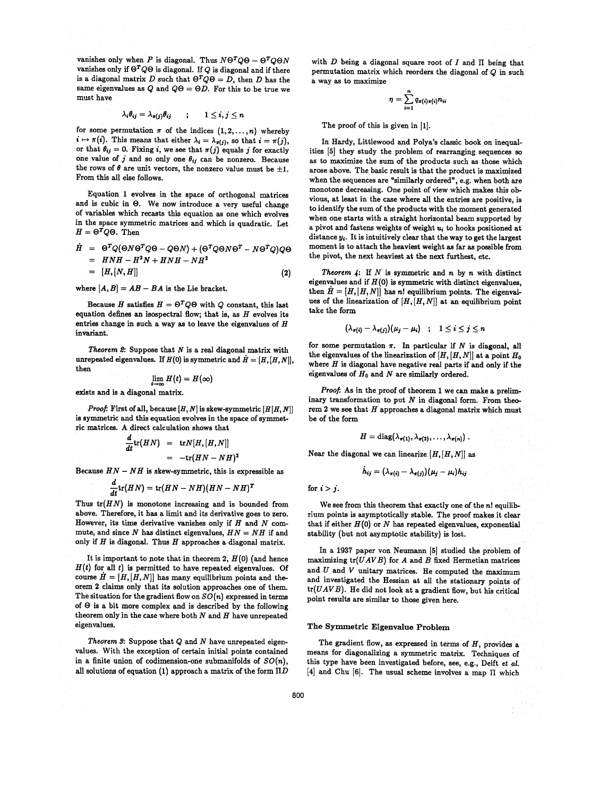vanishes only when P is diagonal. Thus  $N\Theta^TQ\Theta - \Theta^TQ\Theta N$ vanishes only if  $\Theta^T Q \Theta$  is diagonal. If Q is diagonal and if there is a diagonal matrix D such that  $\Theta^T Q \Theta = D$ , then D has the same eigenvalues as Q and  $Q\Theta = \Theta D$ . For this to be true we must have

$$
\lambda_i \theta_{ij} = \lambda_{\pi(j)} \theta_{ij} \qquad ; \qquad 1 \leq i, j \leq n
$$

for some permutation  $\pi$  of the indices  $(1,2,\ldots,n)$  whereby  $i \mapsto \pi(i)$ . This means that either  $\lambda_i = \lambda_{\pi(i)}$ , so that  $i = \pi(j)$ , or that  $\theta_{ij} = 0$ . Fixing i, we see that  $\pi(j)$  equals j for exactly one value of  $j$  and so only one  $\theta_{ij}$  can be nonzero. Because the rows of  $\theta$  are unit vectors, the nonzero value must be  $\pm 1$ . From this all else follows.

Equation 1 evolves in the space of orthogonal matrices and is cubic in  $\Theta$ . We now introduce a very useful change of variables which recasts this equation as one which evolves in the space symmetric matrices and which is quadratic. Let  $H = \Theta^T Q \Theta$ . Then

$$
\dot{H} = \Theta^T Q (\Theta N \Theta^T Q \Theta - Q \Theta N) + (\Theta^T Q \Theta N \Theta^T - N \Theta^T Q) Q \Theta
$$
  
=  $H N H - H^2 N + H N H - N H^2$   
=  $[H, [N, H]]$  (2)

where  $[A, B] = AB - BA$  is the Lie bracket.

Because H satisfies  $H = \Theta^T Q \Theta$  with Q constant, this last equation defines an isospectral flow; that is, as  $H$  evolves its entries change in such a way as to leave the eigenvalues of  $H$ invariant.

Theorem 2: Suppose that  $N$  is a real diagonal matrix with unrepeated eigenvalues. If  $H(0)$  is symmetric and  $\dot{H} = [H,[H,N]],$ then

$$
\lim H(t)=H(\infty)
$$

exists and is a diagonal matrix.

*Proof:* First of all, because  $[H, N]$  is skew-symmetric  $[H(H, N)]$ is symmetric and this equation evolves in the space of symmetric matrices. A direct calculation shows that

$$
\frac{d}{dt}\text{tr}(HN) = \text{tr}N[H,[H,N]]
$$
  
= -\text{tr}(HN - NH)<sup>2</sup>

Because  $HN - NH$  is skew-symmetric, this is expressible as

$$
\frac{d}{dt}\text{tr}(HN) = \text{tr}(HN - NH)(HN - NH)^T
$$

Thus  $tr(HN)$  is monotone increasing and is bounded from above. Therefore, it has a limit and its derivative goes to zero. However, its time derivative vanishes only if  $H$  and  $N$  commute, and since  $N$  has distinct eigenvalues,  $HN = NH$  if and only if  $H$  is diagonal. Thus  $H$  approaches a diagonal matrix.

It is important to note that in theorem 2,  $H(0)$  (and hence  $H(t)$  for all t) is permitted to have repeated eigenvalues. Of course  $H = [H, [H, N]]$  has many equilibrium points and theorem 2 claims only that its solution approaches one of them. The situation for the gradient flow on  $SO(n)$  expressed in terms of  $\Theta$  is a bit more complex and is described by the following theorem only in the case where both  $N$  and  $H$  have unrepeated eigenvalues.

Theorem  $s$ : Suppose that  $Q$  and  $N$  have unrepeated eigenvalues. With the exception of certain initial points contained in a finite union of codimension-one submanifolds of  $SO(n)$ , all solutions of equation (1) approach a matrix of the form  $\Pi D$  with  $D$  being a diagonal square root of  $I$  and  $\Pi$  being that permutation matrix which reorders the diagonal of Q in such a way as to maximize

$$
\eta = \sum_{i=1}^n q_{\pi(i)\pi(i)} n_{ii}
$$

The proof of this is given in [1].

In Hardy, Littlewood and Polya's classic book on inequalities [5] they study the problem of rearranging sequences so as to maximize the sum of the products such as those which arose above. The basic result is that the product is maximized when the sequences are "similarly ordered", e.g. when both are monotone decreasing. One point of view which makes this obvious, at least in the case where all the entries are positive, is to identify the sum of the products with the moment generated when one starts with a straight horizontal beam supported by a pivot and fastens weights of weight  $u_i$  to hooks positioned at distance  $y_i$ . It is intuitively clear that the way to get the largest moment is to attach the heaviest weight as far as possible from the pivot, the next heaviest at the next furthest, etc.

Theorem  $4$ : If  $N$  is symmetric and  $n$  by  $n$  with distinct eigenvalues and if  $H(0)$  is symmetric with distinct eigenvalues, then  $H = [H, [H, N]]$  has n! equilibrium points. The eigenvalues of the linearization of  $[H, [H, N]]$  at an equilibrium point take the form

$$
(\lambda_{\pi(i)} - \lambda_{\pi(j)})(\mu_j - \mu_i) \quad ; \quad 1 \leq i \leq j \leq n
$$

for some permutation  $\pi$ . In particular if N is diagonal, all the eigenvalues of the linearization of  $[H, [H, N]]$  at a point  $H_0$ where  $H$  is diagonal have negative real parts if and only if the eigenvalues of  $H_0$  and N are similarly ordered.

Proof: As in the proof of theorem 1 we can make a preliminary transformation to put  $N$  in diagonal form. From theorem 2 we see that  $H$  approaches a diagonal matrix which must be of the form

$$
H = \mathrm{diag}(\lambda_{\pi(1)}, \lambda_{\pi(2)}, \ldots, \lambda_{\pi(n)})\ .
$$

Near the diagonal we can linearize  $[H,[H,N]]$  as

$$
h_{ij}=(\lambda_{\pi(i)}-\lambda_{\pi(j)})(\mu_j-\mu_i)h_{ij}
$$

for  $i > j$ .

We see from this theorem that exactly one of the n! equilibrium points is asymptotically stable. The proof makes it clear that if either  $H(0)$  or  $N$  has repeated eigenvalues, exponential stability (but not asymptotic stability) is lost.

In a 1937 paper von Neumann [5] studied the problem of maximizing  $tr(UAVB)$  for  $A$  and  $B$  fixed Hermetian matrices and  $U$  and  $V$  unitary matrices. He computed the maximum and investigated the Hessian at all the stationary points of  $tr(UAVB)$ . He did not look at a gradient flow, but his critical point results are similar to those given here.

## The Symmetric Eigenvalue Problem

The gradient flow, as expressed in terms of  $H$ , provides a means for diagonalizing a symmetric matrix. Techniques of this type have been investigated before, see, e.g., Deift et al. [4] and Chu [6]. The usual scheme involves a map II which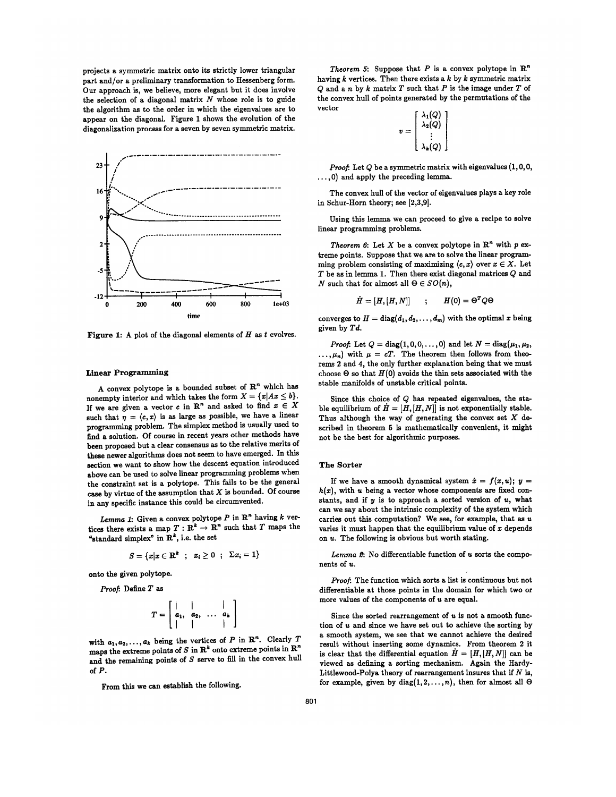projects a symmetric matrix onto its strictly lower triangular part and/or a preliminary transformation to Hessenberg form. Our approach is, we believe, more elegant but it does involve the selection of a diagonal matrix  $N$  whose role is to guide the algorithm as to the order in which the eigenvalues are to appear on the diagonal. Figure 1 shows the evolution of the diagonalization process for a seven by seven symmetric matrix.



Figure 1: A plot of the diagonal elements of  $H$  as  $t$  evolves.

#### Linear Programming

A convex polytope is a bounded subset of  $\mathbb{R}^n$  which has nonempty interior and which takes the form  $X = \{x | Ax \leq b\}.$ If we are given a vector c in  $\mathbb{R}^n$  and asked to find  $x \in X$ such that  $\eta = \langle c, x \rangle$  is as large as possible, we have a linear programming problem. The simplex method is usually used to find a solution. Of course in recent years other methods have been proposed but a clear consensus as to the relative merits of these newer algorithms does not seem to have emerged. In this section we want to show how the descent equation introduced above can be used to solve linear programming problems when the constraint set is a polytope. This fails to be the general case by virtue of the assumption that  $X$  is bounded. Of course in any specific instance this could be circumvented.

Lemma 1: Given a convex polytope  $P$  in  $\mathbb{R}^n$  having  $k$  vertices there exists a map  $T: \mathbb{R}^k \to \mathbb{R}^n$  such that T maps the "standard simplex" in  $\mathbb{R}^k$ , i.e. the set

$$
S = \{x | x \in \mathbf{R}^k \; ; \; x_i \ge 0 \; ; \; \Sigma x_i = 1\}
$$

onto the given polytope.

Proof: Define T as

$$
T=\left[\begin{array}{cccc} | & | & | & | \\ a_1, a_2, & \ldots & a_k \\ | & | & | & | \end{array}\right]
$$

 $T = \begin{bmatrix} 1 \\ a_1, \\ a_2, \\ \vdots \end{bmatrix}$ <br>
ith  $a_1, a_2, \ldots, a_k$  being the v<br>
haps the extreme points of S<br>
ind the remaining points of S<br>
f P.<br>
From this we can establish with  $a_1, a_2, \ldots, a_k$  being the vertices of P in R<sup>n</sup>. Clearly T maps the extreme points of S in  $\mathbb{R}^k$  onto extreme points in  $\mathbb{R}^n$ and the remaining points of  $S$  serve to fill in the convex hull of P.

From this we can establish the following.

Theorem 5: Suppose that P is a convex polytope in  $\mathbb{R}^n$ having  $k$  vertices. Then there exists a  $k$  by  $k$  symmetric matrix  $Q$  and a n by k matrix  $T$  such that  $P$  is the image under  $T$  of the convex hull of points generated by the permutations of the vector

|  | $\lambda_1(Q)$<br>$\lambda_2(Q)$ |  |
|--|----------------------------------|--|
|  | $\lambda_{\bm{k}}(Q)$            |  |

 $\boldsymbol{v}$ 

Proof: Let  $Q$  be a symmetric matrix with eigenvalues  $(1, 0, 0, 1)$ ..,0) and apply the preceding lemma.

The convex hull of the vector of eigenvalues plays a key role in Schur-Horn theory; see [2,3,9].

Using this lemma we can proceed to give a recipe to solve linear programming problems.

Theorem 6: Let X be a convex polytope in  $\mathbb{R}^n$  with p extreme points. Suppose that we are to solve the linear programming problem consisting of maximizing  $\langle c, x \rangle$  over  $x \in X$ . Let  $T$  be as in lemma 1. Then there exist diagonal matrices  $Q$  and N such that for almost all  $\Theta \in SO(n)$ ,

$$
\dot{H} = [H, [H, N]] \qquad ; \qquad H(0) = \Theta^T Q \Theta
$$

converges to  $H = diag(d_1, d_2, \ldots, d_m)$  with the optimal x being given by Td.

*Proof:* Let  $Q = diag(1, 0, 0, ..., 0)$  and let  $N = diag(\mu_1, \mu_2, ...)$  $\ldots, \mu_n$ ) with  $\mu = cT$ . The theorem then follows from theorems 2 and 4, the only further explanation being that we must choose  $\Theta$  so that  $H(0)$  avoids the thin sets associated with the stable manifolds of unstable critical points.

Since this choice of  $Q$  has repeated eigenvalues, the stable equilibrium of  $\dot{H} = [H, [H, N]]$  is not exponentially stable. Thus although the way of generating the convex set  $X$  described in theorem 5 is mathematically convenient, it might not be the best for algorithmic purposes.

#### The Sorter

If we have a smooth dynamical system  $\dot{x} = f(x, u); y =$  $h(x)$ , with u being a vector whose components are fixed constants, and if  $y$  is to approach a sorted version of  $u$ , what can we say about the intrinsic complexity of the system which carries out this computation? We see, for example, that as  $u$ varies it must happen that the equilibrium value of  $x$  depends on u. The following is obvious but worth stating.

Lemma 2: No differentiable function of u sorts the components of  $u$ .

Proof: The function which sorts a list is continuous but not differentiable at those points in the domain for which two or more values of the components of u are equal.

Since the sorted rearrangement of  $u$  is not a smooth function of u and since we have set out to achieve the sorting by a smooth system, we see that we cannot achieve the desired result without inserting some dynamics. From theorem 2 it is clear that the differential equation  $H = [H, [H, N]]$  can be viewed as defining a sorting mechanism. Again the Hardy-Littlewood-Polya theory of rearrangement insures that if  $N$  is, for example, given by  $diag(1,2,\ldots,n)$ , then for almost all  $\Theta$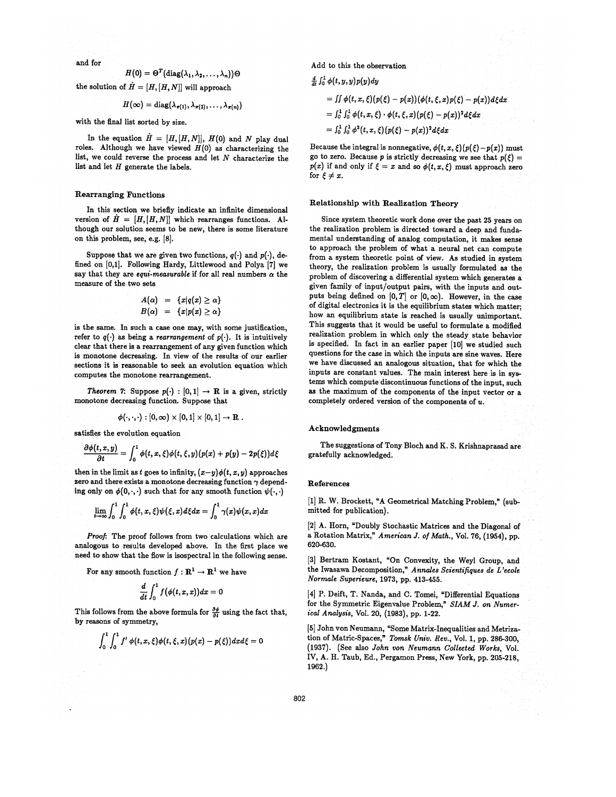and for

 $H(0) = \Theta^T(\text{diag}(\lambda_1, \lambda_2, ..., \lambda_n))\Theta$ the solution of  $\dot{H} = [H, [H, N]]$  will approach

$$
H(\infty) = \mathrm{diag}(\lambda_{\pi(1)}, \lambda_{\pi(2)}, \ldots, \lambda_{\pi(n)})
$$

with the final list sorted by size.

In the equation  $\dot{H} = [H, [H, N]], H(0)$  and N play dual roles. Although we have viewed  $H(0)$  as characterizing the list, we could reverse the process and let  $N$  characterize the list and let  $H$  generate the labels.

# Rearranging Functions

In this section we briefly indicate an infinite dimensional version of  $H = [H, [H, N]]$  which rearranges functions. Although our solution seems to be new, there is some literature on this problem, see, e.g. [8].

Suppose that we are given two functions,  $q(\cdot)$  and  $p(\cdot)$ , defined on [0,1]. Following Hardy, Littlewood and Polya [7] we say that they are equi-measurable if for all real numbers  $\alpha$  the measure of the two sets

$$
A(\alpha) = \{x|q(x) \geq \alpha\}
$$
  

$$
B(\alpha) = \{x|p(x) \geq \alpha\}
$$

is the same. In such a case one may, with some justification, refer to  $q(\cdot)$  as being a rearrangement of  $p(\cdot)$ . It is intuitively clear that there is a rearrangement of any given function which is monotone decreasing. In view of the results of our earlier sections it is reasonable to seek an evolution equation which computes the monotone rearrangement.

Theorem 7: Suppose  $p(\cdot) : [0,1] \rightarrow \mathbb{R}$  is a given, strictly monotone decreasing function. Suppose that

$$
\phi(\cdot,\cdot,\cdot): [0,\infty)\times [0,1]\times [0,1]\to \mathbf{R}.
$$

satisfies the evolution equation

$$
\frac{\partial \phi(t,x,y)}{\partial t} = \int_0^1 \phi(t,x,\xi) \phi(t,\xi,y) (p(x) + p(y) - 2p(\xi)) d\xi
$$

then in the limit as t goes to infinity,  $(x-y)\phi(t, x, y)$  approaches zero and there exists a monotone decreasing function  $\gamma$  depending only on  $\phi(0,\cdot,\cdot)$  such that for any smooth function  $\psi(\cdot,\cdot)$ 

$$
\lim_{t\to\infty}\int_0^1\int_0^1\phi(t,x,\xi)\psi(\xi,x)d\xi dx=\int_0^1\gamma(x)\psi(x,x)dx
$$

Proof: The proof follows from two calculations which are analogous to results developed above. In the first place we need to show that the flow is isospectral in the following sense.

For any smooth function  $f: \mathbb{R}^1 \to \mathbb{R}^1$  we have

$$
\frac{d}{dt}\int_0^1 f\big(\phi(t,x,x)\big)dx=0
$$

This follows from the above formula for  $\frac{\partial \phi}{\partial t}$  using the fact that, by reasons of symmetry,

$$
\int_0^1\int_0^1 f'\,\phi(t,x,\xi)\phi(t,\xi,x)(p(x)-p(\xi))dx d\xi=0
$$

Add to this the observation

 $\frac{d}{dt} \int_0^1 \phi(t,y,y)p(y)dy$ 

$$
= \iint \phi(t,x,\xi) (p(\xi)-p(x)) (\phi(t,\xi,x)p(\xi)-p(x)) d\xi dx
$$

$$
= \int_0^1 \int_0^1 \phi(t,x,\xi) \cdot \phi(t,\xi,x) (p(\xi) - p(x))^2 d\xi dx
$$

$$
= \int_0^1 \int_0^1 \phi^2(t, x, \xi) (p(\xi) - p(x))^2 d\xi dx
$$

Because the integral is nonnegative,  $\phi(t, x, \xi)(p(\xi) - p(x))$  must go to zero. Because p is strictly decreasing we see that  $p(\xi) =$  $p(x)$  if and only if  $\xi = x$  and so  $\phi(t, x, \xi)$  must approach zero for  $\xi \neq x$ .

# Relationship with Realization Theory

Since system theoretic work done over the past 25 years on the realization problem is directed toward a deep and fundamental understanding of analog computation, it makes sense to approach the problem of what a neural net can compute from a system theoretic point of view. As studied in system theory, the realization problem is usually formulated as the problem of discovering a differential system which generates a given family of input/output pairs, with the inputs and outputs being defined on  $[0, T]$  or  $[0, \infty)$ . However, in the case of digital electronics it is the equilibrium states which matter; how an equilibrium state is reached is. usually unimportant. This suggests that it would be useful to formulate a modified realization problem in which only the steady state behavior is specified. In fact in an earlier paper [10] we studied such questions for the case in which the inputs are sine waves. Here we have discussed an analogous situation, that for which the inputs are constant values. The main interest here is in systems which compute discontinuous functions of the input, such as the maximum of the components of the input vector or a completely ordered version of the components of  $u$ .

#### Acknowledgments

The suggestions of Tony Bloch and K. S. Krishnaprasad are gratefully acknowledged.

#### References

[1] R. W. Brockett, "A Geometrical Matching Problem," (submitted for publication).

[2] A. Horn, "Doubly Stochastic Matrices and the Diagonal of a Rotation Matrix," American J. of Math., Vol. 76, (1954), pp. 620-630.

[3] Bertram Kostant, "On Convexity, the Weyl Group, and the Iwasawa Decomposition," Annales Scientifiques de L'ecole Normale Superieure, 1973, pp. 413-455.

[4] P. Deift, T. Nanda, and C. Tomei, "Differential Equations for the Symmetric Eigenvalue Problem," SIAM J. on Numertcal Analysts, Vol. 20, (1983), pp. 1-22.

[5] John von Neumann, "Some Matrix-Inequalities and Metrization of Matric-Spaces," Tomsk Univ. Rev., Vol. 1, pp. 286-300, (1937). (See also John von Neumann Collected Works, Vol. IV, A. H. Taub, Ed., Pergamon Press, New York, pp. 205-218, 1962.)